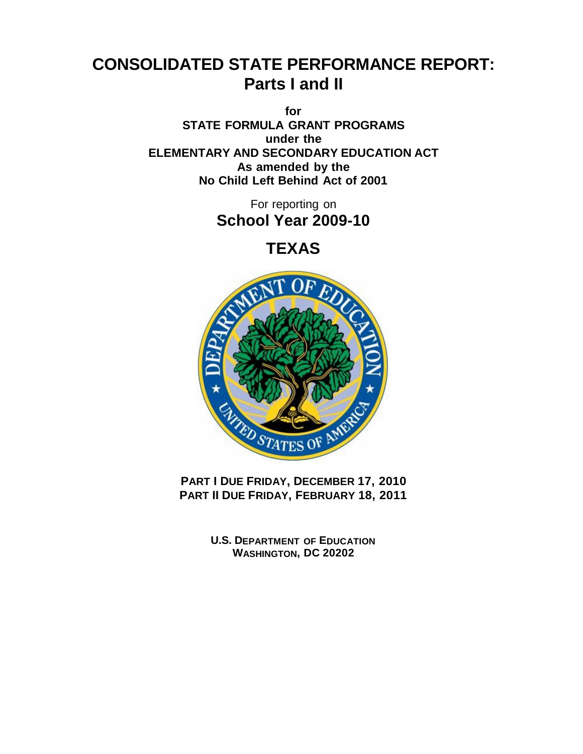# **CONSOLIDATED STATE PERFORMANCE REPORT: Parts I and II**

**for STATE FORMULA GRANT PROGRAMS under the ELEMENTARY AND SECONDARY EDUCATION ACT As amended by the No Child Left Behind Act of 2001**

> For reporting on **School Year 2009-10**

> > **TEXAS**



**PART I DUE FRIDAY, DECEMBER 17, 2010 PART II DUE FRIDAY, FEBRUARY 18, 2011**

> **U.S. DEPARTMENT OF EDUCATION WASHINGTON, DC 20202**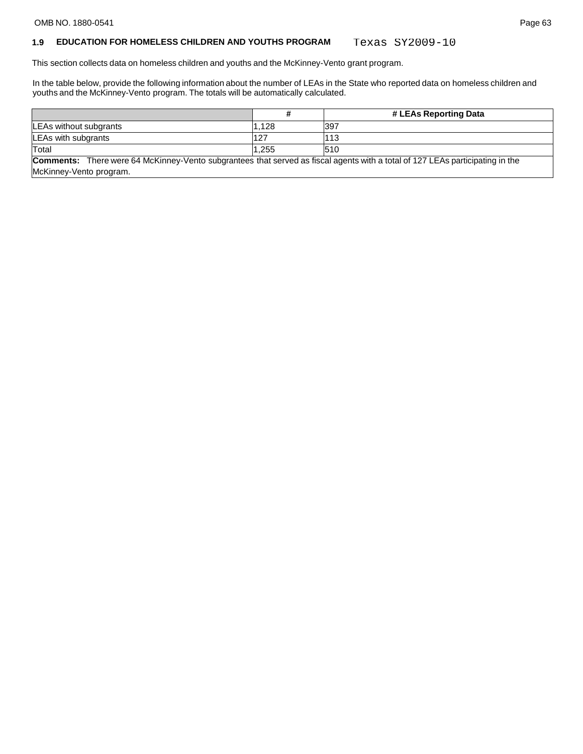#### **1.9 EDUCATION FOR HOMELESS CHILDREN AND YOUTHS PROGRAM** Texas SY2009-10

This section collects data on homeless children and youths and the McKinney-Vento grant program.

In the table below, provide the following information about the number of LEAs in the State who reported data on homeless children and youths and the McKinney-Vento program. The totals will be automatically calculated.

|                                                                                                                                      |       | # LEAs Reporting Data |
|--------------------------------------------------------------------------------------------------------------------------------------|-------|-----------------------|
| LEAs without subgrants                                                                                                               | 1.128 | 397                   |
| LEAs with subgrants                                                                                                                  | 127   | 113                   |
| Total                                                                                                                                | 1.255 | 510                   |
| <b>Comments:</b> There were 64 McKinney-Vento subgrantees that served as fiscal agents with a total of 127 LEAs participating in the |       |                       |

McKinney-Vento program.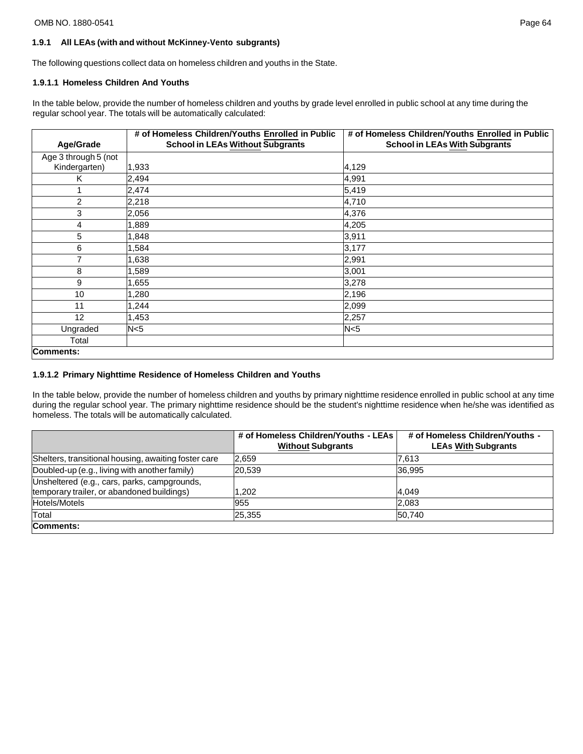# **1.9.1 All LEAs (with and without McKinney-Vento subgrants)**

The following questions collect data on homeless children and youths in the State.

# **1.9.1.1 Homeless Children And Youths**

In the table below, provide the number of homeless children and youths by grade level enrolled in public school at any time during the regular school year. The totals will be automatically calculated:

|                      | # of Homeless Children/Youths Enrolled in Public | # of Homeless Children/Youths Enrolled in Public |
|----------------------|--------------------------------------------------|--------------------------------------------------|
| Age/Grade            | <b>School in LEAs Without Subgrants</b>          | <b>School in LEAs With Subgrants</b>             |
| Age 3 through 5 (not |                                                  |                                                  |
| Kindergarten)        | 1,933                                            | 4,129                                            |
| Κ                    | 2,494                                            | 4,991                                            |
|                      | 2,474                                            | 5,419                                            |
| $\overline{2}$       | 2,218                                            | 4,710                                            |
| 3                    | 2,056                                            | 4,376                                            |
| 4                    | 1,889                                            | 4,205                                            |
| 5                    | 1,848                                            | 3,911                                            |
| 6                    | 1,584                                            | 3,177                                            |
| 7                    | 1,638                                            | 2,991                                            |
| 8                    | 1,589                                            | 3,001                                            |
| 9                    | 1,655                                            | 3,278                                            |
| 10                   | 1,280                                            | 2,196                                            |
| 11                   | 1,244                                            | 2,099                                            |
| 12                   | 1,453                                            | 2,257                                            |
| Ungraded             | N <sub>5</sub>                                   | N <sub>5</sub>                                   |
| Total                |                                                  |                                                  |
| <b>Comments:</b>     |                                                  |                                                  |

# **1.9.1.2 Primary Nighttime Residence of Homeless Children and Youths**

In the table below, provide the number of homeless children and youths by primary nighttime residence enrolled in public school at any time during the regular school year. The primary nighttime residence should be the student's nighttime residence when he/she was identified as homeless. The totals will be automatically calculated.

|                                                                                            | # of Homeless Children/Youths - LEAs<br><b>Without Subgrants</b> | # of Homeless Children/Youths -<br><b>LEAs With Subgrants</b> |
|--------------------------------------------------------------------------------------------|------------------------------------------------------------------|---------------------------------------------------------------|
| Shelters, transitional housing, awaiting foster care                                       | 2,659                                                            | 7,613                                                         |
| Doubled-up (e.g., living with another family)                                              | 20.539                                                           | 36.995                                                        |
| Unsheltered (e.g., cars, parks, campgrounds,<br>temporary trailer, or abandoned buildings) | 1.202                                                            | 4,049                                                         |
| Hotels/Motels                                                                              | 955                                                              | 2,083                                                         |
| Total                                                                                      | 25,355                                                           | 50,740                                                        |
| Comments:                                                                                  |                                                                  |                                                               |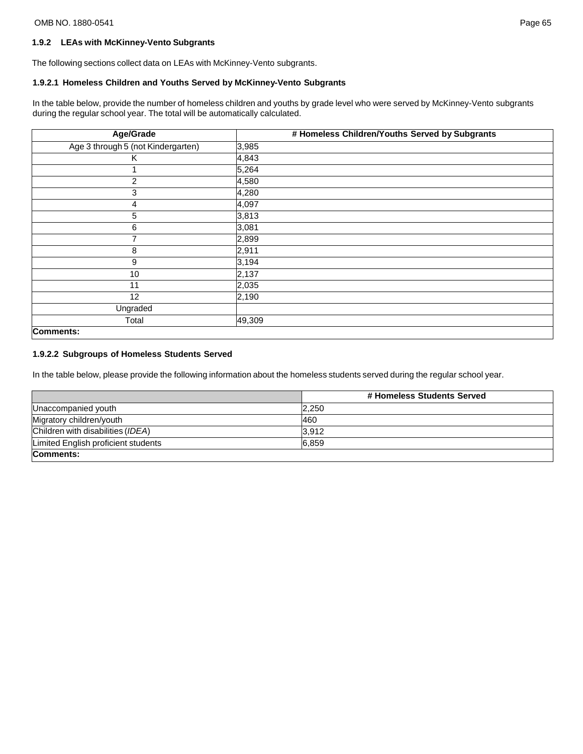# **1.9.2 LEAs with McKinney-Vento Subgrants**

The following sections collect data on LEAs with McKinney-Vento subgrants.

# **1.9.2.1 Homeless Children and Youths Served by McKinney-Vento Subgrants**

In the table below, provide the number of homeless children and youths by grade level who were served by McKinney-Vento subgrants during the regular school year. The total will be automatically calculated.

| Age/Grade                          | # Homeless Children/Youths Served by Subgrants |
|------------------------------------|------------------------------------------------|
| Age 3 through 5 (not Kindergarten) | 3,985                                          |
| Κ                                  | 4,843                                          |
|                                    | 5,264                                          |
| $\overline{2}$                     | 4,580                                          |
| 3                                  | 4,280                                          |
| 4                                  | 4,097                                          |
| 5                                  | 3,813                                          |
| 6                                  | 3,081                                          |
| 7                                  | 2,899                                          |
| 8                                  | 2,911                                          |
| 9                                  | 3,194                                          |
| 10                                 | 2,137                                          |
| 11                                 | 2,035                                          |
| 12                                 | 2,190                                          |
| Ungraded                           |                                                |
| Total                              | 49,309                                         |
| Comments:                          |                                                |

#### **1.9.2.2 Subgroups of Homeless Students Served**

In the table below, please provide the following information about the homeless students served during the regular school year.

|                                     | # Homeless Students Served |
|-------------------------------------|----------------------------|
| Unaccompanied youth                 | 2.250                      |
| Migratory children/youth            | 460                        |
| Children with disabilities (IDEA)   | 3,912                      |
| Limited English proficient students | 6,859                      |
| Comments:                           |                            |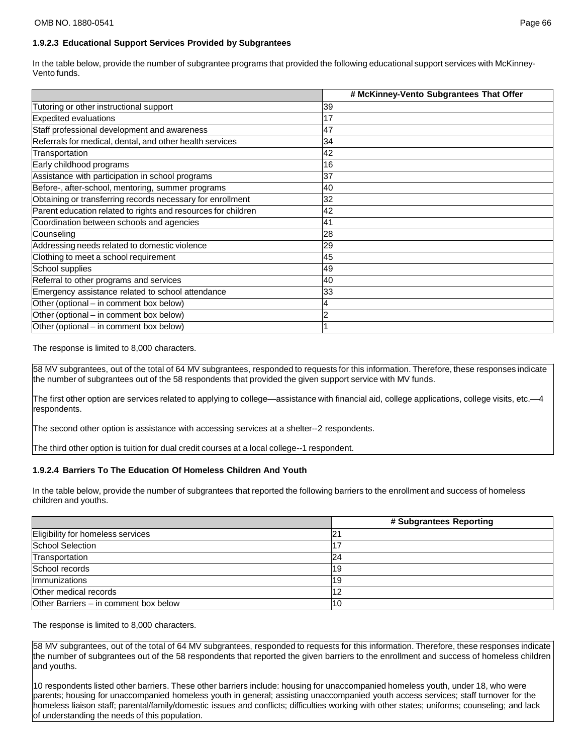# **1.9.2.3 Educational Support Services Provided by Subgrantees**

In the table below, provide the number of subgrantee programs that provided the following educational support services with McKinney-Vento funds.

|                                                               | # McKinney-Vento Subgrantees That Offer |
|---------------------------------------------------------------|-----------------------------------------|
| Tutoring or other instructional support                       | 39                                      |
| Expedited evaluations                                         | 17                                      |
| Staff professional development and awareness                  | 47                                      |
| Referrals for medical, dental, and other health services      | 34                                      |
| Transportation                                                | 42                                      |
| Early childhood programs                                      | 16                                      |
| Assistance with participation in school programs              | 37                                      |
| Before-, after-school, mentoring, summer programs             | 40                                      |
| Obtaining or transferring records necessary for enrollment    | 32                                      |
| Parent education related to rights and resources for children | 42                                      |
| Coordination between schools and agencies                     | 41                                      |
| Counseling                                                    | 28                                      |
| Addressing needs related to domestic violence                 | 29                                      |
| Clothing to meet a school requirement                         | 45                                      |
| School supplies                                               | 49                                      |
| Referral to other programs and services                       | 40                                      |
| Emergency assistance related to school attendance             | 33                                      |
| Other (optional – in comment box below)                       | 4                                       |
| Other (optional – in comment box below)                       | 2                                       |
| Other (optional – in comment box below)                       |                                         |

The response is limited to 8,000 characters.

58 MV subgrantees, out of the total of 64 MV subgrantees, responded to requests for this information. Therefore, these responses indicate the number of subgrantees out of the 58 respondents that provided the given support service with MV funds.

The first other option are services related to applying to college—assistance with financial aid, college applications, college visits, etc.—4 respondents.

The second other option is assistance with accessing services at a shelter--2 respondents.

The third other option is tuition for dual credit courses at a local college--1 respondent.

### **1.9.2.4 Barriers To The Education Of Homeless Children And Youth**

In the table below, provide the number of subgrantees that reported the following barriers to the enrollment and success of homeless children and youths.

|                                       | # Subgrantees Reporting |
|---------------------------------------|-------------------------|
| Eligibility for homeless services     |                         |
| School Selection                      |                         |
| Transportation                        | 24                      |
| School records                        | l19                     |
| Immunizations                         | 19                      |
| Other medical records                 |                         |
| Other Barriers – in comment box below | 10                      |

The response is limited to 8,000 characters.

58 MV subgrantees, out of the total of 64 MV subgrantees, responded to requests for this information. Therefore, these responses indicate the number of subgrantees out of the 58 respondents that reported the given barriers to the enrollment and success of homeless children and youths.

10 respondents listed other barriers. These other barriers include: housing for unaccompanied homeless youth, under 18, who were parents; housing for unaccompanied homeless youth in general; assisting unaccompanied youth access services; staff turnover for the homeless liaison staff; parental/family/domestic issues and conflicts; difficulties working with other states; uniforms; counseling; and lack of understanding the needs of this population.